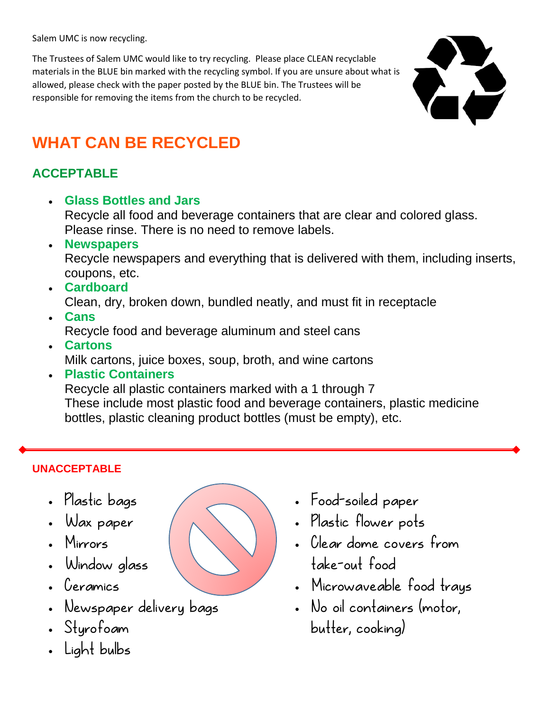Salem UMC is now recycling.

The Trustees of Salem UMC would like to try recycling. Please place CLEAN recyclable materials in the BLUE bin marked with the recycling symbol. If you are unsure about what is allowed, please check with the paper posted by the BLUE bin. The Trustees will be responsible for removing the items from the church to be recycled.



## **WHAT CAN BE RECYCLED**

### **ACCEPTABLE**

**Glass Bottles and Jars**

Recycle all food and beverage containers that are clear and colored glass. Please rinse. There is no need to remove labels.

**Newspapers**

Recycle newspapers and everything that is delivered with them, including inserts, coupons, etc.

**Cardboard**

Clean, dry, broken down, bundled neatly, and must fit in receptacle

- **Cans** Recycle food and beverage aluminum and steel cans
- **Cartons** Milk cartons, juice boxes, soup, broth, and wine cartons
- **Plastic Containers** Recycle all plastic containers marked with a 1 through 7 These include most plastic food and beverage containers, plastic medicine bottles, plastic cleaning product bottles (must be empty), etc.

#### **UNACCEPTABLE**

- Plastic bags
- Wax paper
- Mirrors
- Window glass
- Ceramics
- Newspaper delivery bags
- Styrofoam
- Light bulbs
- Food-soiled paper
- Plastic flower pots
- Clear dome covers from take-out food
- Microwaveable food trays
- No oil containers (motor, butter, cooking)